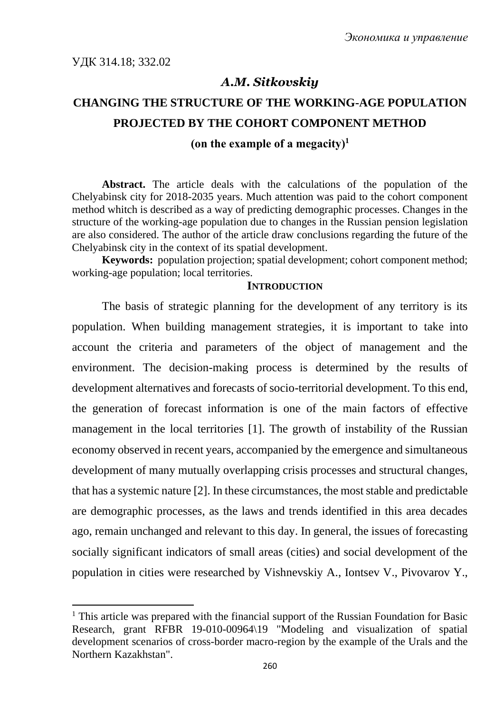## *A.M. Sitkovskiy*

# **CHANGING THE STRUCTURE OF THE WORKING-AGE POPULATION PROJECTED BY THE COHORT COMPONENT METHOD**

## **(on the example of a megaсity)<sup>1</sup>**

**Abstract.** The article deals with the calculations of the population of the Chelyabinsk city for 2018-2035 years. Much attention was paid to the cohort component method whitch is described as a way of predicting demographic processes. Changes in the structure of the working-age population due to changes in the Russian pension legislation are also considered. The author of the article draw conclusions regarding the future of the Chelyabinsk city in the context of its spatial development.

**Keywords:** population projection; spatial development; cohort component method; working-age population; local territories.

#### **INTRODUCTION**

The basis of strategic planning for the development of any territory is its population. When building management strategies, it is important to take into account the criteria and parameters of the object of management and the environment. The decision-making process is determined by the results of development alternatives and forecasts of socio-territorial development. To this end, the generation of forecast information is one of the main factors of effective management in the local territories [1]. The growth of instability of the Russian economy observed in recent years, accompanied by the emergence and simultaneous development of many mutually overlapping crisis processes and structural changes, that has a systemic nature [2]. In these circumstances, the most stable and predictable are demographic processes, as the laws and trends identified in this area decades ago, remain unchanged and relevant to this day. In general, the issues of forecasting socially significant indicators of small areas (cities) and social development of the population in cities were researched by Vishnevskiy A., Iontsev V., Pivovarov Y.,

<sup>&</sup>lt;sup>1</sup> This article was prepared with the financial support of the Russian Foundation for Basic Research, grant RFBR 19-010-00964\19 "Modeling and visualization of spatial development scenarios of cross-border macro-region by the example of the Urals and the Northern Kazakhstan".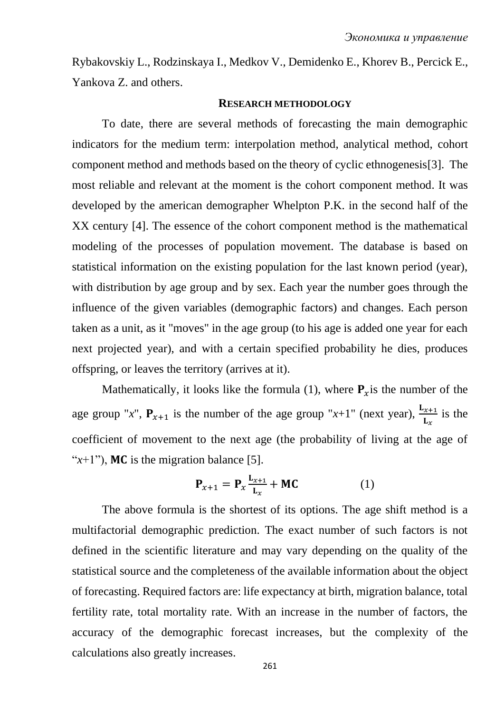Rybakovskiy L., Rodzinskaya I., Medkov V., Demidenko E., Khorev B., Percick E., Yankova Z. and others.

#### **RESEARCH METHODOLOGY**

To date, there are several methods of forecasting the main demographic indicators for the medium term: interpolation method, analytical method, cohort component method and methods based on the theory of cyclic ethnogenesis[3]. The most reliable and relevant at the moment is the cohort component method. It was developed by the american demographer Whelpton P.K. in the second half of the XX century [4]. The essence of the cohort component method is the mathematical modeling of the processes of population movement. The database is based on statistical information on the existing population for the last known period (year), with distribution by age group and by sex. Each year the number goes through the influence of the given variables (demographic factors) and changes. Each person taken as a unit, as it "moves" in the age group (to his age is added one year for each next projected year), and with a certain specified probability he dies, produces offspring, or leaves the territory (arrives at it).

Mathematically, it looks like the formula (1), where  $P_x$  is the number of the age group "*x*",  $P_{x+1}$  is the number of the age group "*x*+1" (next year),  $\frac{L_{x+1}}{L_x}$ is the coefficient of movement to the next age (the probability of living at the age of " $x+1$ "), MC is the migration balance [5].

$$
\mathbf{P}_{x+1} = \mathbf{P}_x \frac{\mathbf{L}_{x+1}}{\mathbf{L}_x} + \mathbf{M}\mathbf{C}
$$
 (1)

The above formula is the shortest of its options. The age shift method is a multifactorial demographic prediction. The exact number of such factors is not defined in the scientific literature and may vary depending on the quality of the statistical source and the completeness of the available information about the object of forecasting. Required factors are: life expectancy at birth, migration balance, total fertility rate, total mortality rate. With an increase in the number of factors, the accuracy of the demographic forecast increases, but the complexity of the calculations also greatly increases.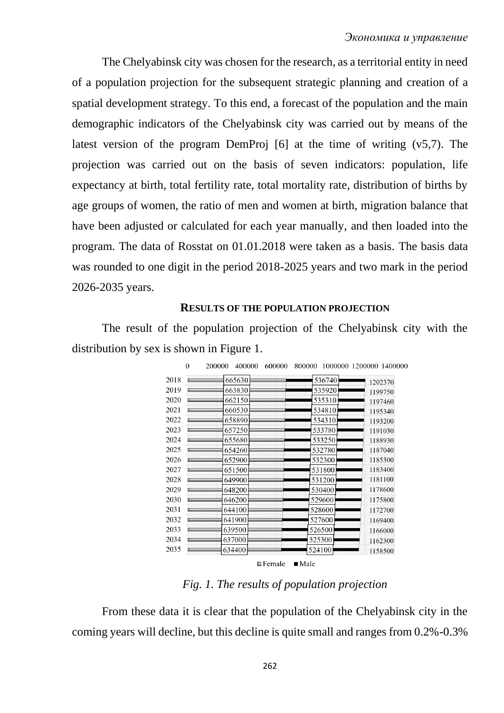The Chelyabinsk city was chosen for the research, as a territorial entity in need of a population projection for the subsequent strategic planning and creation of a spatial development strategy. To this end, a forecast of the population and the main demographic indicators of the Chelyabinsk city was carried out by means of the latest version of the program DemProj [6] at the time of writing (v5,7). The projection was carried out on the basis of seven indicators: population, life expectancy at birth, total fertility rate, total mortality rate, distribution of births by age groups of women, the ratio of men and women at birth, migration balance that have been adjusted or calculated for each year manually, and then loaded into the program. The data of Rosstat on 01.01.2018 were taken as a basis. The basis data was rounded to one digit in the period 2018-2025 years and two mark in the period 2026-2035 years.

#### **RESULTS OF THE POPULATION PROJECTION**

The result of the population projection of the Chelyabinsk city with the distribution by sex is shown in Figure 1.

| 2018 | 665630 | 536740 | 1202370 |
|------|--------|--------|---------|
| 2019 | 663830 | 535920 | 1199750 |
| 2020 | 662150 | 535310 | 1197460 |
| 2021 | 660530 | 534810 | 1195340 |
| 2022 | 658890 | 534310 | 1193200 |
| 2023 | 657250 | 533780 | 1191030 |
| 2024 | 655680 | 533250 | 1188930 |
| 2025 | 654260 | 532780 | 1187040 |
| 2026 | 652900 | 532300 | 1185300 |
| 2027 | 651500 | 531800 | 1183400 |
| 2028 | 649900 | 531200 | 1181100 |
| 2029 | 648200 | 530400 | 1178600 |
| 2030 | 646200 | 529600 | 1175800 |
| 2031 | 644100 | 528600 | 1172700 |
| 2032 | 641900 | 527600 | 1169400 |
| 2033 | 639500 | 526500 | 1166000 |
| 2034 | 637000 | 525300 | 1162300 |
| 2035 | 634400 | 524100 | 1158500 |

*Fig. 1. The results of population projection*

From these data it is clear that the population of the Chelyabinsk city in the coming years will decline, but this decline is quite small and ranges from 0.2%-0.3%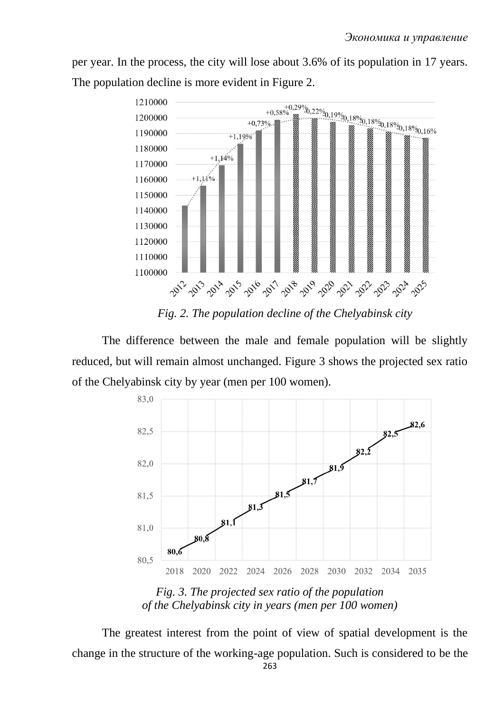per year. In the process, the city will lose about 3.6% of its population in 17 years. The population decline is more evident in Figure 2.



*Fig. 2. The population decline of the Chelyabinsk city*

The difference between the male and female population will be slightly reduced, but will remain almost unchanged. Figure 3 shows the projected sex ratio of the Chelyabinsk city by year (men per 100 women).



*Fig. 3. The projected sex ratio of the population of the Chelyabinsk city in years (men per 100 women)*

The greatest interest from the point of view of spatial development is the change in the structure of the working-age population. Such is considered to be the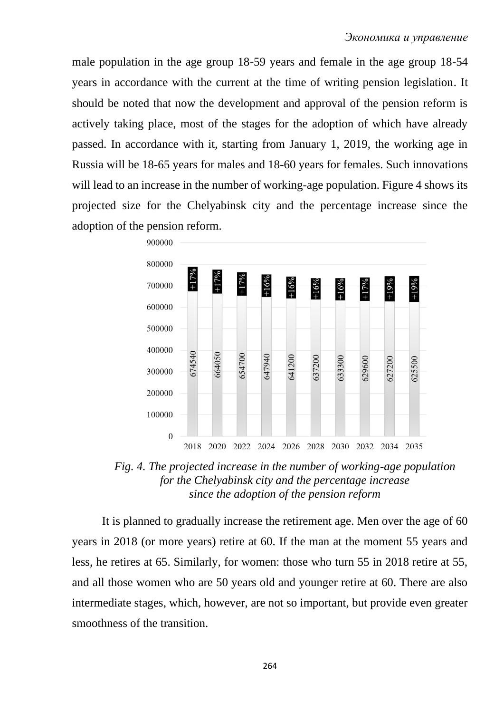male population in the age group 18-59 years and female in the age group 18-54 years in accordance with the current at the time of writing pension legislation. It should be noted that now the development and approval of the pension reform is actively taking place, most of the stages for the adoption of which have already passed. In accordance with it, starting from January 1, 2019, the working age in Russia will be 18-65 years for males and 18-60 years for females. Such innovations will lead to an increase in the number of working-age population. Figure 4 shows its projected size for the Chelyabinsk city and the percentage increase since the adoption of the pension reform.



*Fig. 4. The projected increase in the number of working-age population for the Chelyabinsk city and the percentage increase since the adoption of the pension reform*

It is planned to gradually increase the retirement age. Men over the age of 60 years in 2018 (or more years) retire at 60. If the man at the moment 55 years and less, he retires at 65. Similarly, for women: those who turn 55 in 2018 retire at 55, and all those women who are 50 years old and younger retire at 60. There are also intermediate stages, which, however, are not so important, but provide even greater smoothness of the transition.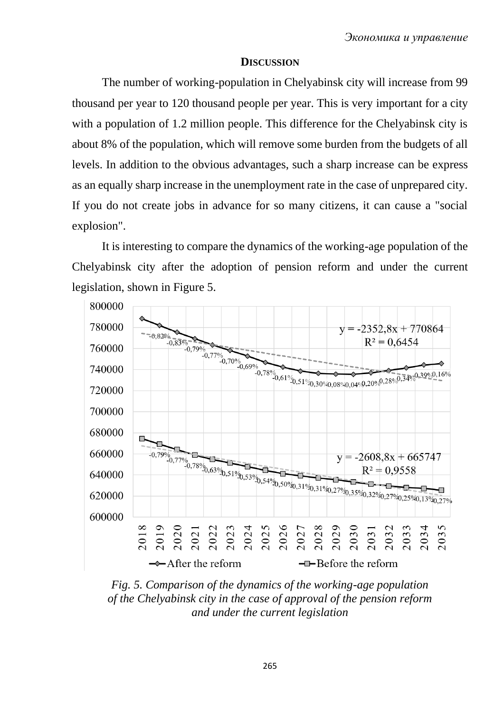## **DISCUSSION**

The number of working-population in Chelyabinsk city will increase from 99 thousand per year to 120 thousand people per year. This is very important for a city with a population of 1.2 million people. This difference for the Chelyabinsk city is about 8% of the population, which will remove some burden from the budgets of all levels. In addition to the obvious advantages, such a sharp increase can be express as an equally sharp increase in the unemployment rate in the case of unprepared city. If you do not create jobs in advance for so many citizens, it can cause a "social explosion".

It is interesting to compare the dynamics of the working-age population of the Chelyabinsk city after the adoption of pension reform and under the current legislation, shown in Figure 5.



*Fig. 5. Comparison of the dynamics of the working-age population of the Chelyabinsk city in the case of approval of the pension reform and under the current legislation*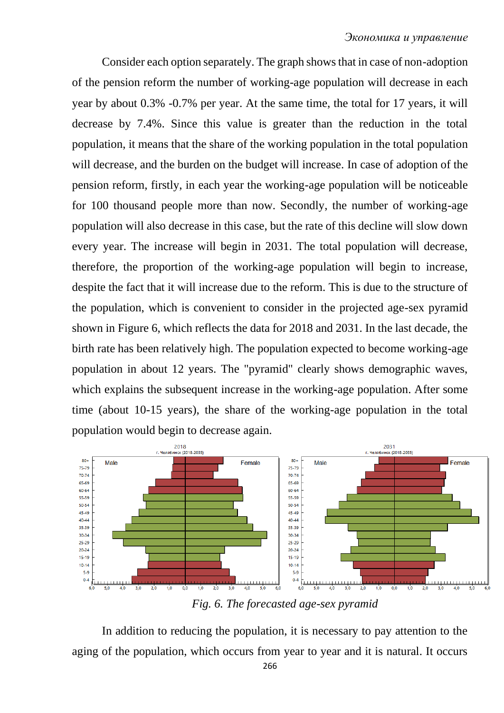Consider each option separately. The graph shows that in case of non-adoption of the pension reform the number of working-age population will decrease in each year by about 0.3% -0.7% per year. At the same time, the total for 17 years, it will decrease by 7.4%. Since this value is greater than the reduction in the total population, it means that the share of the working population in the total population will decrease, and the burden on the budget will increase. In case of adoption of the pension reform, firstly, in each year the working-age population will be noticeable for 100 thousand people more than now. Secondly, the number of working-age population will also decrease in this case, but the rate of this decline will slow down every year. The increase will begin in 2031. The total population will decrease, therefore, the proportion of the working-age population will begin to increase, despite the fact that it will increase due to the reform. This is due to the structure of the population, which is convenient to consider in the projected age-sex pyramid shown in Figure 6, which reflects the data for 2018 and 2031. In the last decade, the birth rate has been relatively high. The population expected to become working-age population in about 12 years. The "pyramid" clearly shows demographic waves, which explains the subsequent increase in the working-age population. After some time (about 10-15 years), the share of the working-age population in the total population would begin to decrease again.



*Fig. 6. The forecasted age-sex pyramid*

In addition to reducing the population, it is necessary to pay attention to the aging of the population, which occurs from year to year and it is natural. It occurs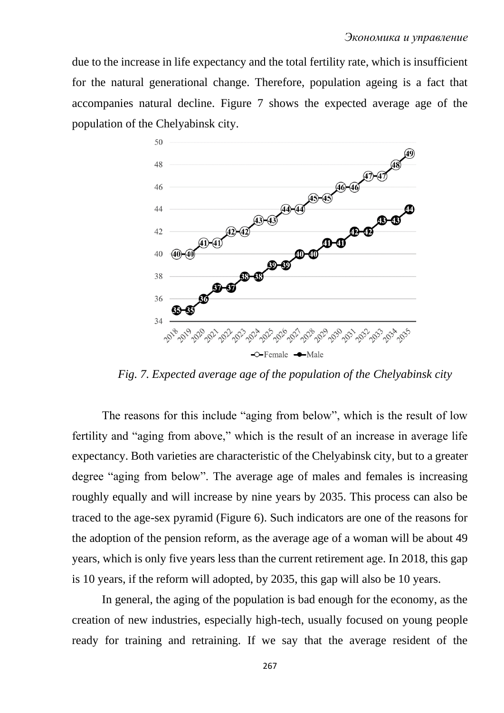due to the increase in life expectancy and the total fertility rate, which is insufficient for the natural generational change. Therefore, population ageing is a fact that accompanies natural decline. Figure 7 shows the expected average age of the population of the Chelyabinsk city.



*Fig. 7. Expected average age of the population of the Chelyabinsk city*

The reasons for this include "aging from below", which is the result of low fertility and "aging from above," which is the result of an increase in average life expectancy. Both varieties are characteristic of the Chelyabinsk city, but to a greater degree "aging from below". The average age of males and females is increasing roughly equally and will increase by nine years by 2035. This process can also be traced to the age-sex pyramid (Figure 6). Such indicators are one of the reasons for the adoption of the pension reform, as the average age of a woman will be about 49 years, which is only five years less than the current retirement age. In 2018, this gap is 10 years, if the reform will adopted, by 2035, this gap will also be 10 years.

In general, the aging of the population is bad enough for the economy, as the creation of new industries, especially high-tech, usually focused on young people ready for training and retraining. If we say that the average resident of the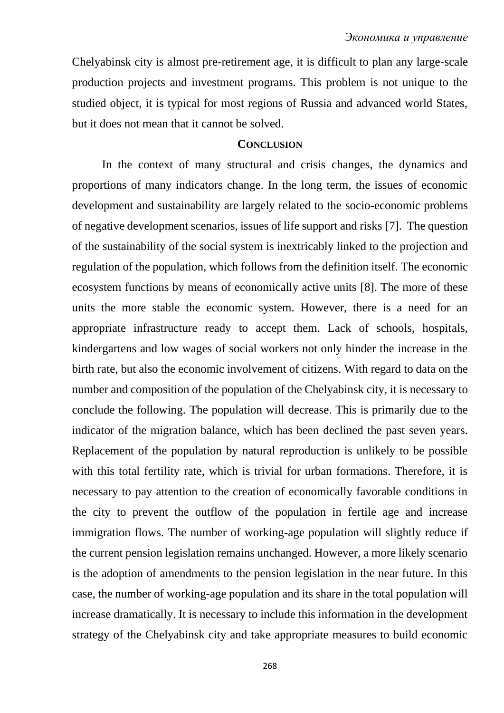Chelyabinsk city is almost pre-retirement age, it is difficult to plan any large-scale production projects and investment programs. This problem is not unique to the studied object, it is typical for most regions of Russia and advanced world States, but it does not mean that it cannot be solved.

## **CONCLUSION**

In the context of many structural and crisis changes, the dynamics and proportions of many indicators change. In the long term, the issues of economic development and sustainability are largely related to the socio-economic problems of negative development scenarios, issues of life support and risks [7]. The question of the sustainability of the social system is inextricably linked to the projection and regulation of the population, which follows from the definition itself. The economic ecosystem functions by means of economically active units [8]. The more of these units the more stable the economic system. However, there is a need for an appropriate infrastructure ready to accept them. Lack of schools, hospitals, kindergartens and low wages of social workers not only hinder the increase in the birth rate, but also the economic involvement of citizens. With regard to data on the number and composition of the population of the Chelyabinsk city, it is necessary to conclude the following. The population will decrease. This is primarily due to the indicator of the migration balance, which has been declined the past seven years. Replacement of the population by natural reproduction is unlikely to be possible with this total fertility rate, which is trivial for urban formations. Therefore, it is necessary to pay attention to the creation of economically favorable conditions in the city to prevent the outflow of the population in fertile age and increase immigration flows. The number of working-age population will slightly reduce if the current pension legislation remains unchanged. However, a more likely scenario is the adoption of amendments to the pension legislation in the near future. In this case, the number of working-age population and its share in the total population will increase dramatically. It is necessary to include this information in the development strategy of the Chelyabinsk city and take appropriate measures to build economic